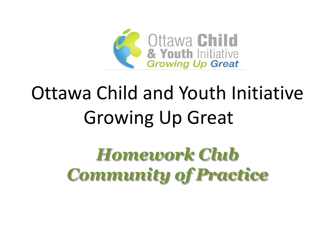

# Ottawa Child and Youth Initiative Growing Up Great

## *Homework Club Community of Practice*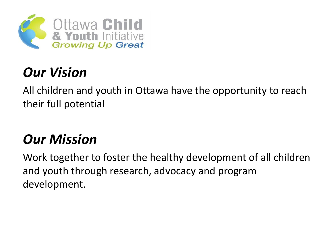

#### *Our Vision*

All children and youth in Ottawa have the opportunity to reach their full potential

#### *Our Mission*

Work together to foster the healthy development of all children and youth through research, advocacy and program development.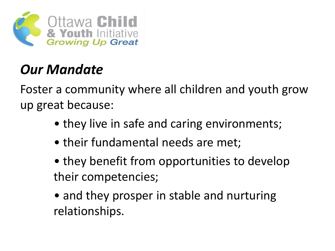

#### *Our Mandate*

Foster a community where all children and youth grow up great because:

- they live in safe and caring environments;
- their fundamental needs are met;
- they benefit from opportunities to develop their competencies;
- and they prosper in stable and nurturing relationships.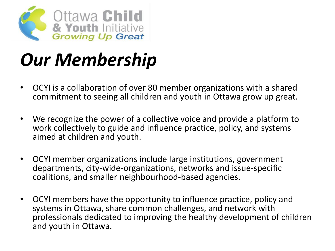

## *Our Membership*

- OCYI is a collaboration of over 80 member organizations with a shared commitment to seeing all children and youth in Ottawa grow up great.
- We recognize the power of a collective voice and provide a platform to work collectively to guide and influence practice, policy, and systems aimed at children and youth.
- OCYI member organizations include large institutions, government departments, city-wide-organizations, networks and issue-specific coalitions, and smaller neighbourhood-based agencies.
- OCYI members have the opportunity to influence practice, policy and systems in Ottawa, share common challenges, and network with professionals dedicated to improving the healthy development of children and youth in Ottawa.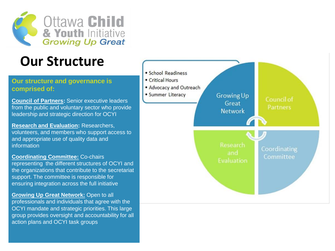

#### **Our Structure**

#### **Our structure and governance is comprised of:**

**Council of Partners:** Senior executive leaders from the public and voluntary sector who provide leadership and strategic direction for OCYI

**Research and Evaluation:** Researchers, volunteers, and members who support access to and appropriate use of quality data and information

**Coordinating Committee:** Co-chairs representing the different structures of OCYI and the organizations that contribute to the secretariat support. The committee is responsible for ensuring integration across the full initiative

**Growing Up Great Network:** Open to all professionals and individuals that agree with the OCYI mandate and strategic priorities. This large group provides oversight and accountability for all action plans and OCYI task groups

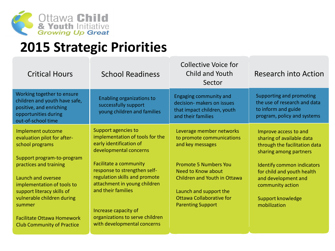

#### **2015 Strategic Priorities**

| <b>Critical Hours</b>                                                                                                                                                      | <b>School Readiness</b>                                                                                                                                                                                | <b>Collective Voice for</b><br>Child and Youth<br>Sector                                                                                                        | Research into Action                                                                                                                                                                             |
|----------------------------------------------------------------------------------------------------------------------------------------------------------------------------|--------------------------------------------------------------------------------------------------------------------------------------------------------------------------------------------------------|-----------------------------------------------------------------------------------------------------------------------------------------------------------------|--------------------------------------------------------------------------------------------------------------------------------------------------------------------------------------------------|
| Working together to ensure<br>children and youth have safe,<br>positive, and enriching<br>opportunities during<br>out-of-school time                                       | Enabling organizations to<br>successfully support<br>young children and families                                                                                                                       | <b>Engaging community and</b><br>decision- makers on issues<br>that impact children, youth<br>and their families                                                | Supporting and promoting<br>the use of research and data<br>to inform and guide<br>program, policy and systems                                                                                   |
| Implement outcome<br>evaluation pilot for after-<br>school programs<br>Support program-to-program<br>practices and training<br>Launch and oversee                          | Support agencies to<br>implementation of tools for the<br>early identification of<br>developmental concerns<br>Facilitate a community<br>response to strengthen self-<br>regulation skills and promote | Leverage member networks<br>to promote communications<br>and key messages<br><b>Promote 5 Numbers You</b><br>Need to Know about<br>Children and Youth in Ottawa | Improve access to and<br>sharing of available data<br>through the facilitation data<br>sharing among partners<br>Identify common indicators<br>for child and youth health<br>and development and |
| implementation of tools to<br>support literacy skills of<br>vulnerable children during<br>summer<br><b>Facilitate Ottawa Homework</b><br><b>Club Community of Practice</b> | attachment in young children<br>and their families<br>Increase capacity of<br>organizations to serve children<br>with developmental concerns                                                           | Launch and support the<br>Ottawa Collaborative for<br><b>Parenting Support</b>                                                                                  | community action<br>Support knowledge<br>mobilization                                                                                                                                            |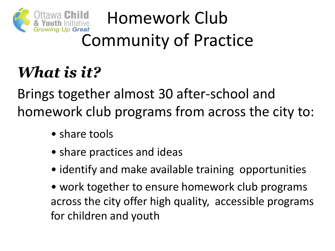

# Homework Club Community of Practice

#### *What is it?*

Brings together almost 30 after-school and homework club programs from across the city to:

- share tools
- share practices and ideas
- identify and make available training opportunities
- work together to ensure homework club programs across the city offer high quality, accessible programs for children and youth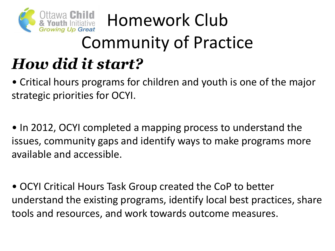

### <sup>a Child</sup> Homework Club Community of Practice *How did it start?*

• Critical hours programs for children and youth is one of the major strategic priorities for OCYI.

• In 2012, OCYI completed a mapping process to understand the issues, community gaps and identify ways to make programs more available and accessible.

• OCYI Critical Hours Task Group created the CoP to better understand the existing programs, identify local best practices, share tools and resources, and work towards outcome measures.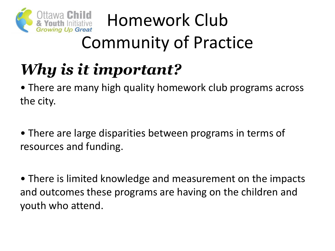

# Homework Club Community of Practice

## *Why is it important?*

• There are many high quality homework club programs across the city.

• There are large disparities between programs in terms of resources and funding.

• There is limited knowledge and measurement on the impacts and outcomes these programs are having on the children and youth who attend.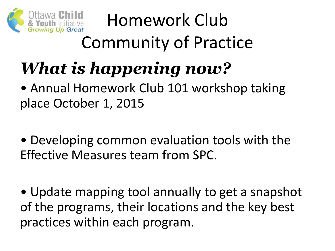

# Homework Club Community of Practice

# *What is happening now?*

- Annual Homework Club 101 workshop taking place October 1, 2015
- Developing common evaluation tools with the Effective Measures team from SPC.
- Update mapping tool annually to get a snapshot of the programs, their locations and the key best practices within each program.